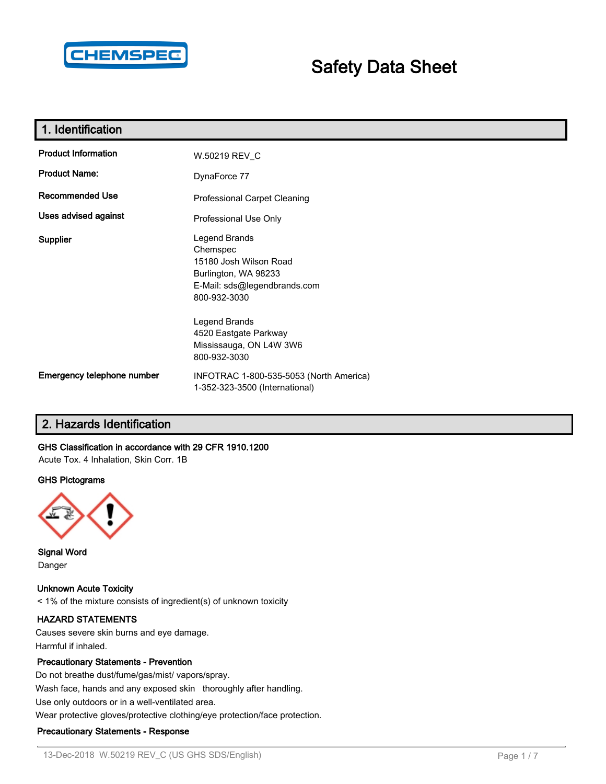

# **Safety Data Sheet**

| 1. Identification           |                                                                                                                             |
|-----------------------------|-----------------------------------------------------------------------------------------------------------------------------|
| <b>Product Information</b>  | W.50219 REV_C                                                                                                               |
| <b>Product Name:</b>        | DynaForce 77                                                                                                                |
| <b>Recommended Use</b>      | Professional Carpet Cleaning                                                                                                |
| <b>Uses advised against</b> | Professional Use Only                                                                                                       |
| <b>Supplier</b>             | Legend Brands<br>Chemspec<br>15180 Josh Wilson Road<br>Burlington, WA 98233<br>E-Mail: sds@legendbrands.com<br>800-932-3030 |
|                             | Legend Brands<br>4520 Eastgate Parkway<br>Mississauga, ON L4W 3W6<br>800-932-3030                                           |
| Emergency telephone number  | INFOTRAC 1-800-535-5053 (North America)<br>1-352-323-3500 (International)                                                   |

# **2. Hazards Identification**

#### **GHS Classification in accordance with 29 CFR 1910.1200**

Acute Tox. 4 Inhalation, Skin Corr. 1B

#### **GHS Pictograms**



**Signal Word** Danger

**Unknown Acute Toxicity** < 1% of the mixture consists of ingredient(s) of unknown toxicity

#### **HAZARD STATEMENTS**

Causes severe skin burns and eye damage. Harmful if inhaled.

#### **Precautionary Statements - Prevention**

Do not breathe dust/fume/gas/mist/ vapors/spray. Wash face, hands and any exposed skin thoroughly after handling. Use only outdoors or in a well-ventilated area.

# Wear protective gloves/protective clothing/eye protection/face protection.

#### **Precautionary Statements - Response**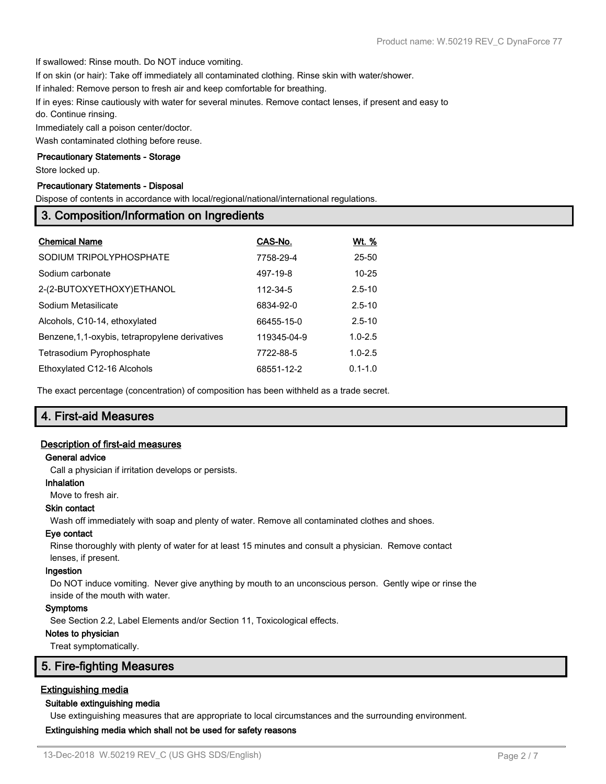If swallowed: Rinse mouth. Do NOT induce vomiting.

If on skin (or hair): Take off immediately all contaminated clothing. Rinse skin with water/shower.

If inhaled: Remove person to fresh air and keep comfortable for breathing.

If in eyes: Rinse cautiously with water for several minutes. Remove contact lenses, if present and easy to do. Continue rinsing.

Immediately call a poison center/doctor.

Wash contaminated clothing before reuse.

#### **Precautionary Statements - Storage**

Store locked up.

#### **Precautionary Statements - Disposal**

Dispose of contents in accordance with local/regional/national/international regulations.

# **3. Composition/Information on Ingredients**

| <b>Chemical Name</b>                             | CAS-No.     | <u>Wt. %</u> |
|--------------------------------------------------|-------------|--------------|
| SODIUM TRIPOLYPHOSPHATE                          | 7758-29-4   | 25-50        |
| Sodium carbonate                                 | 497-19-8    | $10 - 25$    |
| 2-(2-BUTOXYETHOXY)ETHANOL                        | 112-34-5    | $2.5 - 10$   |
| Sodium Metasilicate                              | 6834-92-0   | $2.5 - 10$   |
| Alcohols, C10-14, ethoxylated                    | 66455-15-0  | $2.5 - 10$   |
| Benzene, 1, 1-oxybis, tetrapropylene derivatives | 119345-04-9 | $1.0 - 2.5$  |
| Tetrasodium Pyrophosphate                        | 7722-88-5   | $1.0 - 2.5$  |
| Ethoxylated C12-16 Alcohols                      | 68551-12-2  | $0.1 - 1.0$  |

The exact percentage (concentration) of composition has been withheld as a trade secret.

# **4. First-aid Measures**

#### **Description of first-aid measures**

#### **General advice**

Call a physician if irritation develops or persists.

#### **Inhalation**

Move to fresh air.

#### **Skin contact**

Wash off immediately with soap and plenty of water. Remove all contaminated clothes and shoes.

#### **Eye contact**

Rinse thoroughly with plenty of water for at least 15 minutes and consult a physician. Remove contact lenses, if present.

#### **Ingestion**

Do NOT induce vomiting. Never give anything by mouth to an unconscious person. Gently wipe or rinse the inside of the mouth with water.

#### **Symptoms**

See Section 2.2, Label Elements and/or Section 11, Toxicological effects.

#### **Notes to physician**

Treat symptomatically.

# **5. Fire-fighting Measures**

### **Extinguishing media**

#### **Suitable extinguishing media**

Use extinguishing measures that are appropriate to local circumstances and the surrounding environment.

### **Extinguishing media which shall not be used for safety reasons**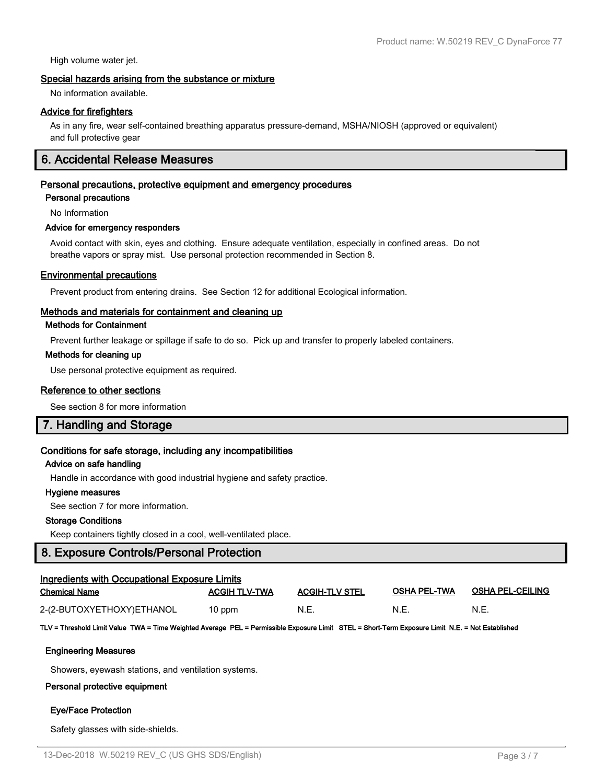High volume water jet.

#### **Special hazards arising from the substance or mixture**

No information available.

#### **Advice for firefighters**

As in any fire, wear self-contained breathing apparatus pressure-demand, MSHA/NIOSH (approved or equivalent) and full protective gear

# **6. Accidental Release Measures**

#### **Personal precautions, protective equipment and emergency procedures**

**Personal precautions**

No Information

#### **Advice for emergency responders**

Avoid contact with skin, eyes and clothing. Ensure adequate ventilation, especially in confined areas. Do not breathe vapors or spray mist. Use personal protection recommended in Section 8.

#### **Environmental precautions**

Prevent product from entering drains. See Section 12 for additional Ecological information.

#### **Methods and materials for containment and cleaning up**

#### **Methods for Containment**

Prevent further leakage or spillage if safe to do so. Pick up and transfer to properly labeled containers.

#### **Methods for cleaning up**

Use personal protective equipment as required.

#### **Reference to other sections**

See section 8 for more information

# **7. Handling and Storage**

#### **Conditions for safe storage, including any incompatibilities**

#### **Advice on safe handling**

Handle in accordance with good industrial hygiene and safety practice.

#### **Hygiene measures**

See section 7 for more information.

#### **Storage Conditions**

Keep containers tightly closed in a cool, well-ventilated place.

### **8. Exposure Controls/Personal Protection**

| <b>Ingredients with Occupational Exposure Limits</b> |                      |                       |                     |                         |  |
|------------------------------------------------------|----------------------|-----------------------|---------------------|-------------------------|--|
| <b>Chemical Name</b>                                 | <b>ACGIH TLV-TWA</b> | <b>ACGIH-TLV STEL</b> | <b>OSHA PEL-TWA</b> | <b>OSHA PEL-CEILING</b> |  |
| 2-(2-BUTOXYETHOXY)ETHANOL                            | $10$ ppm             | N.E.                  | N.E.                | N.E.                    |  |

**TLV = Threshold Limit Value TWA = Time Weighted Average PEL = Permissible Exposure Limit STEL = Short-Term Exposure Limit N.E. = Not Established**

#### **Engineering Measures**

Showers, eyewash stations, and ventilation systems.

### **Personal protective equipment**

# **Eye/Face Protection**

Safety glasses with side-shields.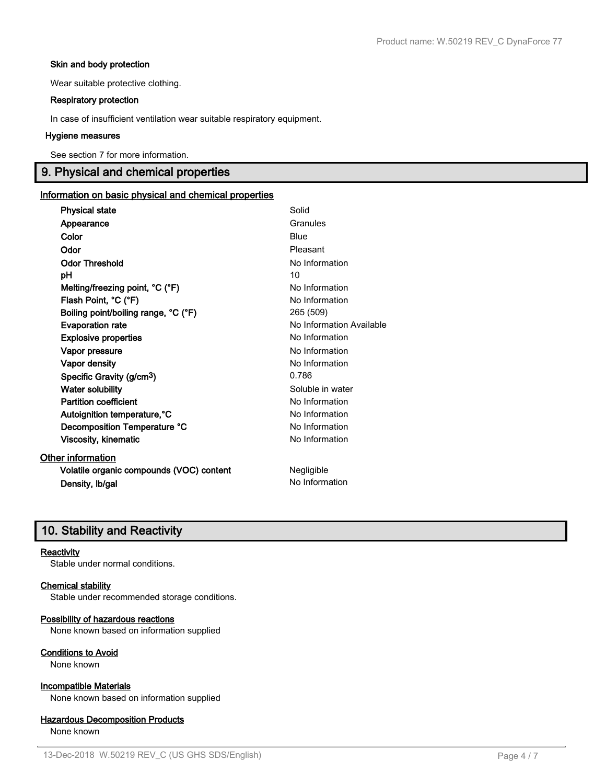#### **Skin and body protection**

Wear suitable protective clothing.

#### **Respiratory protection**

In case of insufficient ventilation wear suitable respiratory equipment.

#### **Hygiene measures**

See section 7 for more information.

# **9. Physical and chemical properties**

#### **Information on basic physical and chemical properties**

| <b>Physical state</b>                    | Solid                    |
|------------------------------------------|--------------------------|
| Appearance                               | Granules                 |
| Color                                    | Blue                     |
| Odor                                     | Pleasant                 |
| <b>Odor Threshold</b>                    | No Information           |
| рH                                       | 10                       |
| Melting/freezing point, °C (°F)          | No Information           |
| Flash Point, °C (°F)                     | No Information           |
| Boiling point/boiling range, °C (°F)     | 265 (509)                |
| <b>Evaporation rate</b>                  | No Information Available |
| <b>Explosive properties</b>              | No Information           |
| Vapor pressure                           | No Information           |
| <b>Vapor density</b>                     | No Information           |
| Specific Gravity (g/cm <sup>3</sup> )    | 0.786                    |
| <b>Water solubility</b>                  | Soluble in water         |
| <b>Partition coefficient</b>             | No Information           |
| Autoignition temperature, °C             | No Information           |
| Decomposition Temperature °C             | No Information           |
| <b>Viscosity, kinematic</b>              | No Information           |
| Other information                        |                          |
| Volatile organic compounds (VOC) content | Negligible               |
| Density, Ib/gal                          | No Information           |

# **10. Stability and Reactivity**

#### **Reactivity**

Stable under normal conditions.

#### **Chemical stability**

Stable under recommended storage conditions.

#### **Possibility of hazardous reactions**

None known based on information supplied

#### **Conditions to Avoid**

None known

### **Incompatible Materials**

None known based on information supplied

### **Hazardous Decomposition Products**

None known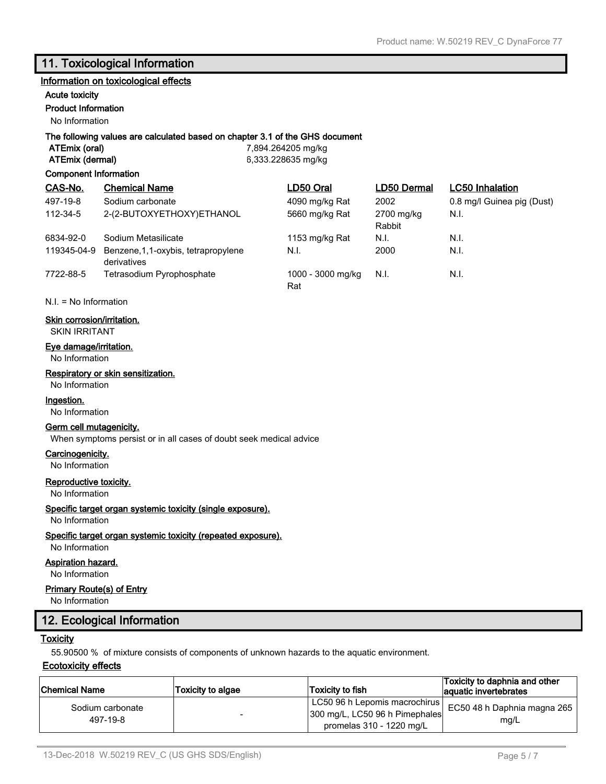# **11. Toxicological Information**

#### **Information on toxicological effects**

#### **Acute toxicity**

#### **Product Information**

No Information

#### **The following values are calculated based on chapter 3.1 of the GHS document**

**ATEmix (oral)** 7,894.264205 mg/kg **ATEmix (dermal)** 6,333.228635 mg/kg

#### **Component Information**

| CAS-No.     | <b>Chemical Name</b>                                | LD50 Oral                | LD50 Dermal          | <b>LC50 Inhalation</b>     |
|-------------|-----------------------------------------------------|--------------------------|----------------------|----------------------------|
| 497-19-8    | Sodium carbonate                                    | 4090 mg/kg Rat           | 2002                 | 0.8 mg/l Guinea pig (Dust) |
| 112-34-5    | 2-(2-BUTOXYETHOXY)ETHANOL                           | 5660 mg/kg Rat           | 2700 mg/kg<br>Rabbit | N.I.                       |
| 6834-92-0   | Sodium Metasilicate                                 | 1153 mg/kg Rat           | N.I.                 | N.I.                       |
| 119345-04-9 | Benzene, 1, 1-oxybis, tetrapropylene<br>derivatives | N.I.                     | 2000                 | N.I.                       |
| 7722-88-5   | Tetrasodium Pyrophosphate                           | 1000 - 3000 mg/kg<br>Rat | N.I.                 | N.I.                       |

N.I. = No Information

#### **Skin corrosion/irritation.**

SKIN IRRITANT

#### **Eye damage/irritation.**

No Information

### **Respiratory or skin sensitization.**

No Information

### **Ingestion.**

No Information

#### **Germ cell mutagenicity.**

When symptoms persist or in all cases of doubt seek medical advice

#### **Carcinogenicity.**

No Information

#### **Reproductive toxicity.**

No Information

#### **Specific target organ systemic toxicity (single exposure).**

No Information

#### **Specific target organ systemic toxicity (repeated exposure).**

No Information

#### **Aspiration hazard.**

No Information

#### **Primary Route(s) of Entry**

No Information

# **12. Ecological Information**

#### **Toxicity**

55.90500 % of mixture consists of components of unknown hazards to the aquatic environment.

#### **Ecotoxicity effects**

| <b>Chemical Name</b>         | <b>Toxicity to algae</b> | Toxicity to fish                                                                              | Toxicity to daphnia and other<br>aquatic invertebrates |
|------------------------------|--------------------------|-----------------------------------------------------------------------------------------------|--------------------------------------------------------|
| Sodium carbonate<br>497-19-8 |                          | LC50 96 h Lepomis macrochirus  <br>300 mg/L, LC50 96 h Pimephales<br>promelas 310 - 1220 mg/L | EC50 48 h Daphnia magna 265 $\frac{1}{2}$<br>mg/L      |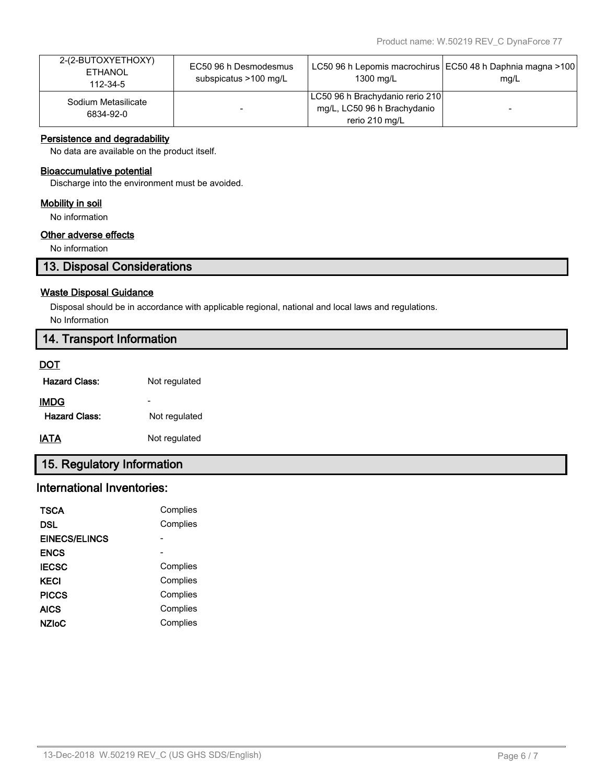| 2-(2-BUTOXYETHOXY)<br><b>ETHANOL</b><br>112-34-5 | EC50 96 h Desmodesmus<br>subspicatus >100 mg/L | 1300 mg/L                                                                        | LC50 96 h Lepomis macrochirus   EC50 48 h Daphnia magna >100<br>mq/L |
|--------------------------------------------------|------------------------------------------------|----------------------------------------------------------------------------------|----------------------------------------------------------------------|
| Sodium Metasilicate<br>6834-92-0                 |                                                | LC50 96 h Brachydanio rerio 210<br>mg/L, LC50 96 h Brachydanio<br>rerio 210 mg/L |                                                                      |

### **Persistence and degradability**

No data are available on the product itself.

#### **Bioaccumulative potential**

Discharge into the environment must be avoided.

#### **Mobility in soil**

No information

### **Other adverse effects**

No information

# **13. Disposal Considerations**

#### **Waste Disposal Guidance**

Disposal should be in accordance with applicable regional, national and local laws and regulations.

No Information

# **14. Transport Information**

#### **DOT**

| <b>Hazard Class:</b> | Not regulated |
|----------------------|---------------|
| IMDC                 |               |

| Not regulated |
|---------------|
|               |

**IATA** Not regulated

# **15. Regulatory Information**

# **International Inventories:**

| <b>TSCA</b>          | Complies |
|----------------------|----------|
| DSL                  | Complies |
| <b>EINECS/ELINCS</b> |          |
| <b>ENCS</b>          |          |
| <b>IECSC</b>         | Complies |
| KECI                 | Complies |
| <b>PICCS</b>         | Complies |
| <b>AICS</b>          | Complies |
| NZIoC                | Complies |